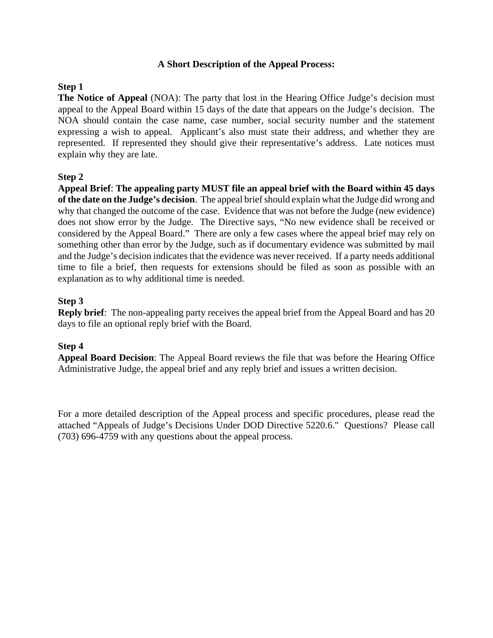#### **A Short Description of the Appeal Process:**

## **Step 1**

**The Notice of Appeal** (NOA): The party that lost in the Hearing Office Judge's decision must appeal to the Appeal Board within 15 days of the date that appears on the Judge's decision. The NOA should contain the case name, case number, social security number and the statement expressing a wish to appeal. Applicant's also must state their address, and whether they are represented. If represented they should give their representative's address. Late notices must explain why they are late.

## **Step 2**

**Appeal Brief**: **The appealing party MUST file an appeal brief with the Board within 45 days of the date on the Judge's decision**. The appeal brief should explain what the Judge did wrong and why that changed the outcome of the case. Evidence that was not before the Judge (new evidence) does not show error by the Judge. The Directive says, "No new evidence shall be received or considered by the Appeal Board." There are only a few cases where the appeal brief may rely on something other than error by the Judge, such as if documentary evidence was submitted by mail and the Judge's decision indicates that the evidence was never received. If a party needs additional time to file a brief, then requests for extensions should be filed as soon as possible with an explanation as to why additional time is needed.

## **Step 3**

**Reply brief**: The non-appealing party receives the appeal brief from the Appeal Board and has 20 days to file an optional reply brief with the Board.

#### **Step 4**

**Appeal Board Decision**: The Appeal Board reviews the file that was before the Hearing Office Administrative Judge, the appeal brief and any reply brief and issues a written decision.

For a more detailed description of the Appeal process and specific procedures, please read the attached "Appeals of Judge's Decisions Under DOD Directive 5220.6." Questions? Please call (703) 696-4759 with any questions about the appeal process.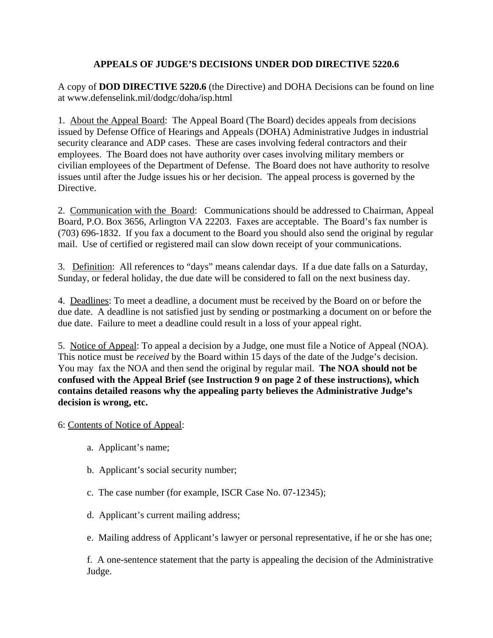# **APPEALS OF JUDGE'S DECISIONS UNDER DOD DIRECTIVE 5220.6**

A copy of **DOD DIRECTIVE 5220.6** (the Directive) and DOHA Decisions can be found on line at www.defenselink.mil/dodgc/doha/isp.html

1. About the Appeal Board: The Appeal Board (The Board) decides appeals from decisions issued by Defense Office of Hearings and Appeals (DOHA) Administrative Judges in industrial security clearance and ADP cases. These are cases involving federal contractors and their employees. The Board does not have authority over cases involving military members or civilian employees of the Department of Defense. The Board does not have authority to resolve issues until after the Judge issues his or her decision. The appeal process is governed by the Directive.

2. Communication with the Board: Communications should be addressed to Chairman, Appeal Board, P.O. Box 3656, Arlington VA 22203. Faxes are acceptable. The Board's fax number is (703) 696-1832. If you fax a document to the Board you should also send the original by regular mail. Use of certified or registered mail can slow down receipt of your communications.

3. Definition: All references to "days" means calendar days. If a due date falls on a Saturday, Sunday, or federal holiday, the due date will be considered to fall on the next business day.

4. Deadlines: To meet a deadline, a document must be received by the Board on or before the due date. A deadline is not satisfied just by sending or postmarking a document on or before the due date. Failure to meet a deadline could result in a loss of your appeal right.

5. Notice of Appeal: To appeal a decision by a Judge, one must file a Notice of Appeal (NOA). This notice must be *received* by the Board within 15 days of the date of the Judge's decision. You may fax the NOA and then send the original by regular mail. **The NOA should not be confused with the Appeal Brief (see Instruction 9 on page 2 of these instructions), which contains detailed reasons why the appealing party believes the Administrative Judge's decision is wrong, etc.**

6: Contents of Notice of Appeal:

- a. Applicant's name;
- b. Applicant's social security number;
- c. The case number (for example, ISCR Case No. 07-12345);
- d. Applicant's current mailing address;
- e. Mailing address of Applicant's lawyer or personal representative, if he or she has one;

f. A one-sentence statement that the party is appealing the decision of the Administrative Judge.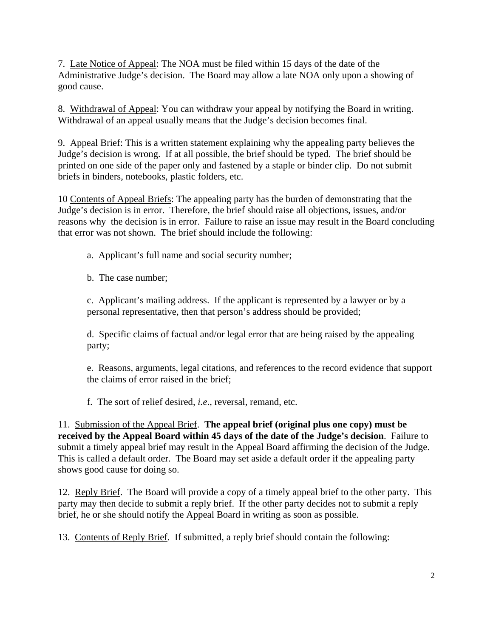7. Late Notice of Appeal: The NOA must be filed within 15 days of the date of the Administrative Judge's decision. The Board may allow a late NOA only upon a showing of good cause.

8. Withdrawal of Appeal: You can withdraw your appeal by notifying the Board in writing. Withdrawal of an appeal usually means that the Judge's decision becomes final.

9. Appeal Brief: This is a written statement explaining why the appealing party believes the Judge's decision is wrong. If at all possible, the brief should be typed. The brief should be printed on one side of the paper only and fastened by a staple or binder clip. Do not submit briefs in binders, notebooks, plastic folders, etc.

10 Contents of Appeal Briefs: The appealing party has the burden of demonstrating that the Judge's decision is in error. Therefore, the brief should raise all objections, issues, and/or reasons why the decision is in error. Failure to raise an issue may result in the Board concluding that error was not shown. The brief should include the following:

- a. Applicant's full name and social security number;
- b. The case number;

c. Applicant's mailing address. If the applicant is represented by a lawyer or by a personal representative, then that person's address should be provided;

d. Specific claims of factual and/or legal error that are being raised by the appealing party;

e. Reasons, arguments, legal citations, and references to the record evidence that support the claims of error raised in the brief;

f. The sort of relief desired, *i.e*., reversal, remand, etc.

11. Submission of the Appeal Brief. **The appeal brief (original plus one copy) must be received by the Appeal Board within 45 days of the date of the Judge's decision**. Failure to submit a timely appeal brief may result in the Appeal Board affirming the decision of the Judge. This is called a default order. The Board may set aside a default order if the appealing party shows good cause for doing so.

12. Reply Brief. The Board will provide a copy of a timely appeal brief to the other party. This party may then decide to submit a reply brief. If the other party decides not to submit a reply brief, he or she should notify the Appeal Board in writing as soon as possible.

13. Contents of Reply Brief. If submitted, a reply brief should contain the following: